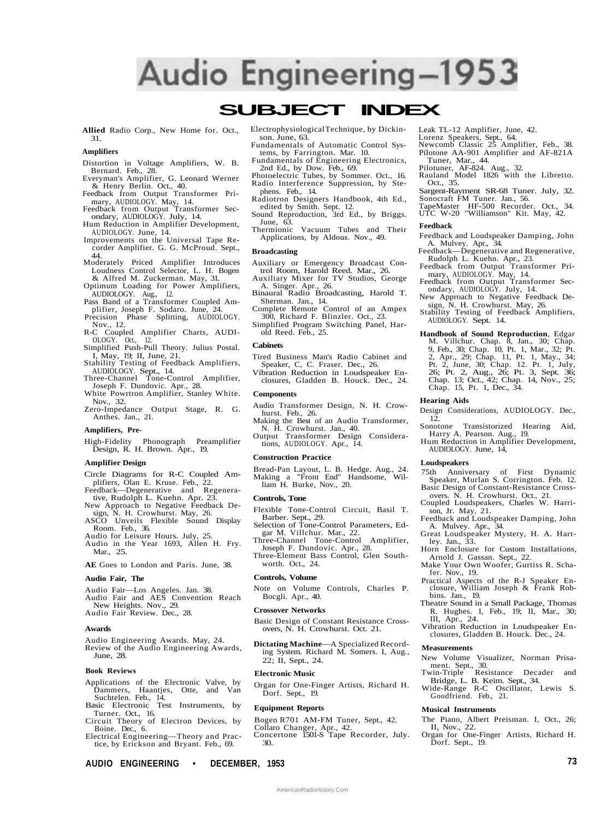# Audio Engineering-1953

# **SUBJECT INDEX**

**Allied** Radio Corp., New Home for. Oct., 31.

# **Amplifiers**

- Distortion in Voltage Amplifiers, W. B. Bernard. Feb., 28.
- Everyman's Amplifier, G. Leonard Werner & Henry Berlin. Oct., 40.
- Feedback from Output Transformer Primary, AUDIOLOGY. May, 14. Feedback from Output Transformer Sec-
- ondary, AUDIOLOGY. July, 14. Hum Reduction in Amplifier Development,
- AUDIOLOGY. June, 14. Improvements on the Universal Tape Re-corder Amplifier. G. G. McProud. Sept.,
- 44.
- Moderately Priced Amplifier Introduces Loudness Control Selector, L. H. Bogen & Alfred M. Zuckerman. May, 31.
- Optimum Loading for Power Amplifiers, AUDIOLOGY. Aug., 12.
- Pass Band of a Transformer Coupled Amplifier, Joseph F. Sodaro. June, 24. Precision Phase Splitting, AUDIOLOGY.
- Nov., 12.
- R-C Coupled Amplifier Charts, AUDI-OLOGY. Oct., 12. Simplified Push-Pull Theory. Julius Postal.
- I, May, 19; II, June, 21. Stability Testing of Feedback Amplifiers,
- AUDIOLOGY. Sept., 14. Three-Channel Tone-Control Amplifier,
- Joseph F. Dundovic. Apr., 28.
- White Powrtron Amplifier, Stanley White. Nov., 32.
- Zero-Impedance Output Stage, R. G. Anthes. Jan., 21.

## **Amplifiers, Pre-**

High-Fidelity Phonograph Preamplifier Design, R. H. Brown. Apr., 19.

#### **Amplifier Design**

- Circle Diagrams for R-C Coupled Amplifiers, Olan E. Kruse. Feb., 22.
- Feedback—Degenerative and Regenerative, Rudolph L. Kuehn. Apr. 23.
- New Approach to Negative Feedback Design, N. H. Crowhurst. May, 26. ASCO Unveils Flexible Sound Display
- Room. Feb., 36. Audio for Leisure Hours. July, 25.
- Audio in the Year 1693, Allen H. Fry. Mar., 25.

**AE** Goes to London and Paris. June, 38.

#### **Audio Fair, The**

- Audio Fair—Los Angeles. Jan. 38.
- Audio Fair and AES Convention Reach
- New Heights. Nov., 29.
- Audio Fair Review. Dec., 28.

# **Awards**

Audio Engineering Awards. May, 24. Review of the Audio Engineering Awards, June, 28.

# **Book Reviews**

- Applications of the Electronic Valve, by Dammers, Haantjes, Otte, and Van Suchtelen. Feb., 14. Basic Electronic Test Instruments, by
- Turner. Oct., 16.
- Circuit Theory of Electron Devices, by Boine. Dec., 6.
- Electrical Engineering—Theory and Practice, by Erickson and Bryant. Feb., 69.
- Electrophysiological Technique, by Dickinson. June, 63.
- Fundamentals of Automatic Control Systems, by Farrington. Mar. 10.
- Fundamentals of Engineering Electronics, 2nd Ed., by Dow. Feb., 69.
- Photoelectric Tubes, by Sommer. Oct., 16. Radio Interference Suppression, by Stephens. Feb., 14.
- Radiotron Designers Handbook, 4th Ed.,
- edited by Smith. Sept. 12. Sound Reproduction, 3rd Ed., by Briggs. June, 63.
- Thermionic Vacuum Tubes and Their Applications, by Aldous. Nov., 49.

#### **Broadcasting**

- Auxiliary or Emergency Broadcast Control Room, Harold Reed. Mar., 26.
- Auxiliary Mixer for TV Studios, George A. Singer. Apr., 26.
- Binaural Radio Broadcasting, Harold T. Sherman. Jan., 14.
- Complete Remote Control of an Ampex 300, Richard F. Blinzler. Oct., 23.
- Simplified Program Switching Panel, Harold Reed. Feb., 25.

#### **Cabinets**

- Tired Business Man's Radio Cabinet and Speaker, C, C. Fraser. Dec., 26.
- Vibration Reduction in Loudspeaker Enclosures, Gladden B. Houck. Dec., 24.

#### **Components**

- Audio Transformer Design, N. H. Crowhurst. Feb., 26.
- Making the Best of an Audio Transformer, N. H. Crowhurst. Jan., 40.
- Output Transformer Design Considerations, AUDIOLOGY. Apr., 14.

#### **Construction Practice**

Bread-Pan Layout, L. B. Hedge. Aug., 24. Making a "Front End" Handsome, William H. Burke, Nov., 20.

#### **Controls, Tone**

- Flexible Tone-Control Circuit, Basil T. Barber. Sept., 29.
- Selection of Tone-Control Parameters, Edgar M. Villchur. Mar., 22.
- Three-Channel Tone-Control Amplifier, Joseph F. Dundovic. Apr., 28. Three-Element Bass Control, Glen South-

worth. Oct., 24.

#### **Controls, Volume**

Note on Volume Controls, Charles P. Bocgli. Apr., 40.

#### **Crossover Networks**

- Basic Design of Constant Resistance Crossovers, N. H. Crowhurst. Oct. 21.
- **Dictating Machine**—A Specialized Recording System. Richard M. Somers. I, Aug., 22; II, Sept., 24.

#### **Electronic Music**

Organ for One-Finger Artists, Richard H. Dorf. Sept., 19.

#### **Equipment Reports**

- Bogen R701 AM-FM Tuner, Sept., 42.
- Collaro Changer, Apr., 42. Concertone 1501-S Tape Recorder, July. 30.

**AUDIO ENGINEERING • DECEMBER, 1953 73**

AmericanRadioHistory.Com

Leak TL-12 Amplifier, June, 42.

- 
- Lorenz Speakers, Sept., 64. Newcomb Classic 25 Amplifier, Feb., 38. Pilotone AA-901 Amplifier and AF-821A Tuner, Mar., 44.
- 

# Pilotuner, AF-824. Aug., 32. Rauland Model 1826 with the Libretto.

- Oct., 35. Sargent-Rayment SR-68 Tuner. July, 32.
- Sonocraft FM Tuner. Jan., 56. TapeMaster HF-500 Recorder. Oct., 34. UTC W-20 "Williamson" Kit. May, 42.
- 

#### **Feedback**

- Feedback and Loudspeaker Damping, John A. Mulvey. Apr., 34.
- Feedback—Degenerative and Regenerative, Rudolph L. Kuehn. Apr., 23.
- Feedback from Output Transformer Pri-
- mary, AUDIOLOGY. May, 14. Feedback from Output Transformer Secondary, AUDIOLOGY. July, 14.
- New Approach to Negative Feedback De-
- sign, N. H. Crowhurst. May, 26. Stability Testing of Feedback Amplifiers, AUDIOLOGY. Sept. 14.
- **Handbook of Sound Reproduction**, Edgar M. Villchur. Chap. 8, Jan., 30; Chap. 9, Feb., 30; Chap. 10, Pt. 1, Mar., 32; Pt. 2, Apr., 29; Chap. 11, Pt. 1, May., 34; Pt. 2, June, 30; Chap. 12. Pt. 1, July, 26; Pt. 2, Aug., 26; Pt. 3, Sept. 36; Chap. 13; Oct., 42; Chap. 14, Nov., 25; Chap. 15, Pt. 1, Dec., 34.

#### **Hearing Aids**

- Design Considerations, AUDIOLOGY. Dec., 12.
- Sonotone Transistorized Hearing Aid, Harry A. Pearson. Aug., 19.
- Hum Reduction in Amplifier Development, AUDIOLOGY. June, 14,

#### **Loudspeakers**

A. Mulvey. Apr., 34.

Arnold J. Gassan. Sept., 22. Make Your Own Woofer, Gurtiss R. Scha-

ley. Jan., 33.

fer. Nov., 19.

bins. Jan., 19.

**Measurements**

**Musical Instruments**

Dorf. Sept., 19.

75th Anniversary of First Dynamic Speaker, Murlan S. Corrington. Feb. 12. Basic Design of Constant-Resistance Cross-

overs. N. H. Crowhurst. Oct., 21. Coupled Loudspeakers, Charles W. Harrison, Jr. May, 21. Feedback and Loudspeaker Damping, John

Great Loudspeaker Mystery, H. A. Hart-

Horn Enclosure for Custom Installations,

Practical Aspects of the R-J Speaker En-closure, William Joseph & Frank Rob-

Theatre Sound in a Small Package, Thomas R. Hughes. I, Feb., 19; II, Mar., 30; III, Apr., 24. Vibration Reduction in Loudspeaker Enclosures, Gladden B. Houck. Dec., 24.

New Volume Visualizer, Norman Prisament. Sept., 30. Twin-Triple Resistance Decader and Bridge, L. B. Keim. Sept., 34. Wide-Range R-C Oscillator, Lewis S. Goodfriend. Feb., 21.

The Piano, Albert Preisman. I, Oct., 26; II, Nov., 22. Organ for One-Finger Artists, Richard H.